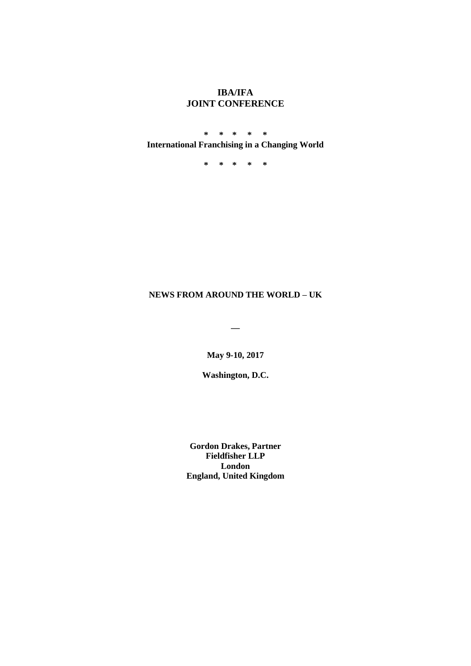# **IBA/IFA JOINT CONFERENCE**

**\* \* \* \* \* International Franchising in a Changing World** 

**\* \* \* \* \***

## **NEWS FROM AROUND THE WORLD – UK**

**\_\_**

**May 9-10, 2017**

**Washington, D.C.**

**Gordon Drakes, Partner Fieldfisher LLP London England, United Kingdom**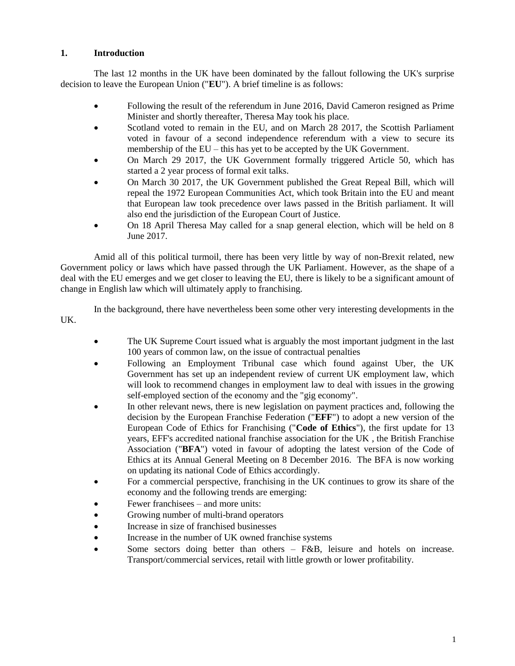## **1. Introduction**

The last 12 months in the UK have been dominated by the fallout following the UK's surprise decision to leave the European Union ("**EU**"). A brief timeline is as follows:

- Following the result of the referendum in June 2016, David Cameron resigned as Prime Minister and shortly thereafter, Theresa May took his place.
- Scotland voted to remain in the EU, and on March 28 2017, the Scottish Parliament voted in favour of a second independence referendum with a view to secure its membership of the EU – this has yet to be accepted by the UK Government.
- On March 29 2017, the UK Government formally triggered Article 50, which has started a 2 year process of formal exit talks.
- On March 30 2017, the UK Government published the Great Repeal Bill, which will repeal the 1972 European Communities Act, which took Britain into the EU and meant that European law took precedence over laws passed in the British parliament. It will also end the jurisdiction of the European Court of Justice.
- On 18 April Theresa May called for a snap general election, which will be held on 8 June 2017.

Amid all of this political turmoil, there has been very little by way of non-Brexit related, new Government policy or laws which have passed through the UK Parliament. However, as the shape of a deal with the EU emerges and we get closer to leaving the EU, there is likely to be a significant amount of change in English law which will ultimately apply to franchising.

In the background, there have nevertheless been some other very interesting developments in the UK.

- The UK Supreme Court issued what is arguably the most important judgment in the last 100 years of common law, on the issue of contractual penalties
- Following an Employment Tribunal case which found against Uber, the UK Government has set up an independent review of current UK employment law, which will look to recommend changes in employment law to deal with issues in the growing self-employed section of the economy and the "gig economy".
- In other relevant news, there is new legislation on payment practices and, following the decision by the European Franchise Federation ("**EFF**") to adopt a new version of the European Code of Ethics for Franchising ("**Code of Ethics**"), the first update for 13 years, EFF's accredited national franchise association for the UK , the British Franchise Association ("**BFA**") voted in favour of adopting the latest version of the Code of Ethics at its Annual General Meeting on 8 December 2016. The BFA is now working on updating its national Code of Ethics accordingly.
- For a commercial perspective, franchising in the UK continues to grow its share of the economy and the following trends are emerging:
- Fewer franchisees and more units:
- Growing number of multi-brand operators
- Increase in size of franchised businesses
- Increase in the number of UK owned franchise systems
- Some sectors doing better than others F&B, leisure and hotels on increase. Transport/commercial services, retail with little growth or lower profitability.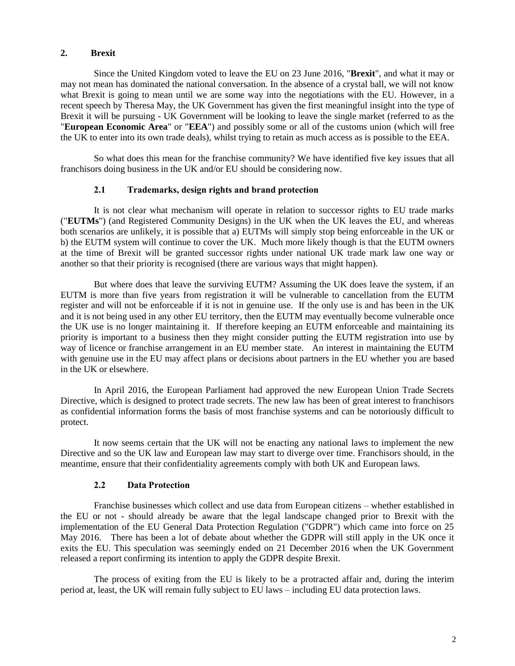#### **2. Brexit**

Since the United Kingdom voted to leave the EU on 23 June 2016, "**Brexit**", and what it may or may not mean has dominated the national conversation. In the absence of a crystal ball, we will not know what Brexit is going to mean until we are some way into the negotiations with the EU. However, in a recent speech by Theresa May, the UK Government has given the first meaningful insight into the type of Brexit it will be pursuing - UK Government will be looking to leave the single market (referred to as the "**European Economic Area**" or "**EEA**") and possibly some or all of the customs union (which will free the UK to enter into its own trade deals), whilst trying to retain as much access as is possible to the EEA.

So what does this mean for the franchise community? We have identified five key issues that all franchisors doing business in the UK and/or EU should be considering now.

#### **2.1 Trademarks, design rights and brand protection**

It is not clear what mechanism will operate in relation to successor rights to EU trade marks ("**EUTMs**") (and Registered Community Designs) in the UK when the UK leaves the EU, and whereas both scenarios are unlikely, it is possible that a) EUTMs will simply stop being enforceable in the UK or b) the EUTM system will continue to cover the UK. Much more likely though is that the EUTM owners at the time of Brexit will be granted successor rights under national UK trade mark law one way or another so that their priority is recognised (there are various ways that might happen).

But where does that leave the surviving EUTM? Assuming the UK does leave the system, if an EUTM is more than five years from registration it will be vulnerable to cancellation from the EUTM register and will not be enforceable if it is not in genuine use. If the only use is and has been in the UK and it is not being used in any other EU territory, then the EUTM may eventually become vulnerable once the UK use is no longer maintaining it. If therefore keeping an EUTM enforceable and maintaining its priority is important to a business then they might consider putting the EUTM registration into use by way of licence or franchise arrangement in an EU member state. An interest in maintaining the EUTM with genuine use in the EU may affect plans or decisions about partners in the EU whether you are based in the UK or elsewhere.

In April 2016, the European Parliament had approved the new European Union Trade Secrets Directive, which is designed to protect trade secrets. The new law has been of great interest to franchisors as confidential information forms the basis of most franchise systems and can be notoriously difficult to protect.

It now seems certain that the UK will not be enacting any national laws to implement the new Directive and so the UK law and European law may start to diverge over time. Franchisors should, in the meantime, ensure that their confidentiality agreements comply with both UK and European laws.

#### **2.2 Data Protection**

Franchise businesses which collect and use data from European citizens – whether established in the EU or not - should already be aware that the legal landscape changed prior to Brexit with the implementation of the EU General Data Protection Regulation ("GDPR") which came into force on 25 May 2016. There has been a lot of debate about whether the GDPR will still apply in the UK once it exits the EU. This speculation was seemingly ended on 21 December 2016 when the UK Government released a report confirming its intention to apply the GDPR despite Brexit.

The process of exiting from the EU is likely to be a protracted affair and, during the interim period at, least, the UK will remain fully subject to EU laws – including EU data protection laws.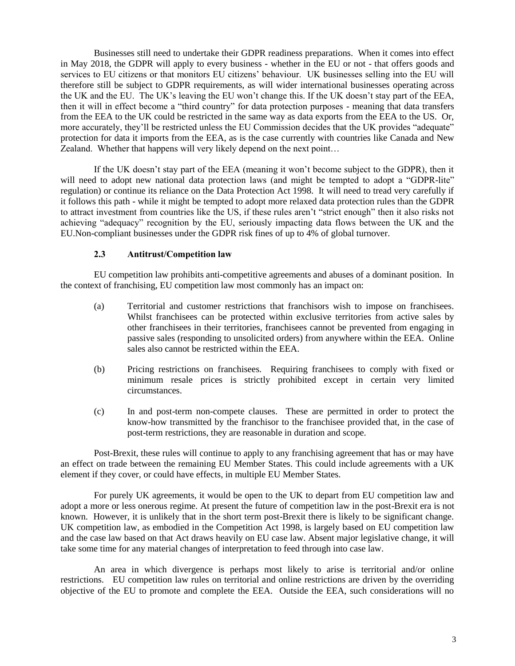Businesses still need to undertake their GDPR readiness preparations. When it comes into effect in May 2018, the GDPR will apply to every business - whether in the EU or not - that offers goods and services to EU citizens or that monitors EU citizens' behaviour. UK businesses selling into the EU will therefore still be subject to GDPR requirements, as will wider international businesses operating across the UK and the EU. The UK's leaving the EU won't change this. If the UK doesn't stay part of the EEA, then it will in effect become a "third country" for data protection purposes - meaning that data transfers from the EEA to the UK could be restricted in the same way as data exports from the EEA to the US. Or, more accurately, they'll be restricted unless the EU Commission decides that the UK provides "adequate" protection for data it imports from the EEA, as is the case currently with countries like Canada and New Zealand. Whether that happens will very likely depend on the next point…

If the UK doesn't stay part of the EEA (meaning it won't become subject to the GDPR), then it will need to adopt new national data protection laws (and might be tempted to adopt a "GDPR-lite" regulation) or continue its reliance on the Data Protection Act 1998. It will need to tread very carefully if it follows this path - while it might be tempted to adopt more relaxed data protection rules than the GDPR to attract investment from countries like the US, if these rules aren't "strict enough" then it also risks not achieving "adequacy" recognition by the EU, seriously impacting data flows between the UK and the EU.Non-compliant businesses under the GDPR risk fines of up to 4% of global turnover.

#### **2.3 Antitrust/Competition law**

EU competition law prohibits anti-competitive agreements and abuses of a dominant position. In the context of franchising, EU competition law most commonly has an impact on:

- (a) Territorial and customer restrictions that franchisors wish to impose on franchisees. Whilst franchisees can be protected within exclusive territories from active sales by other franchisees in their territories, franchisees cannot be prevented from engaging in passive sales (responding to unsolicited orders) from anywhere within the EEA. Online sales also cannot be restricted within the EEA.
- (b) Pricing restrictions on franchisees. Requiring franchisees to comply with fixed or minimum resale prices is strictly prohibited except in certain very limited circumstances.
- (c) In and post-term non-compete clauses. These are permitted in order to protect the know-how transmitted by the franchisor to the franchisee provided that, in the case of post-term restrictions, they are reasonable in duration and scope.

Post-Brexit, these rules will continue to apply to any franchising agreement that has or may have an effect on trade between the remaining EU Member States. This could include agreements with a UK element if they cover, or could have effects, in multiple EU Member States.

For purely UK agreements, it would be open to the UK to depart from EU competition law and adopt a more or less onerous regime. At present the future of competition law in the post-Brexit era is not known. However, it is unlikely that in the short term post-Brexit there is likely to be significant change. UK competition law, as embodied in the Competition Act 1998, is largely based on EU competition law and the case law based on that Act draws heavily on EU case law. Absent major legislative change, it will take some time for any material changes of interpretation to feed through into case law.

An area in which divergence is perhaps most likely to arise is territorial and/or online restrictions. EU competition law rules on territorial and online restrictions are driven by the overriding objective of the EU to promote and complete the EEA. Outside the EEA, such considerations will no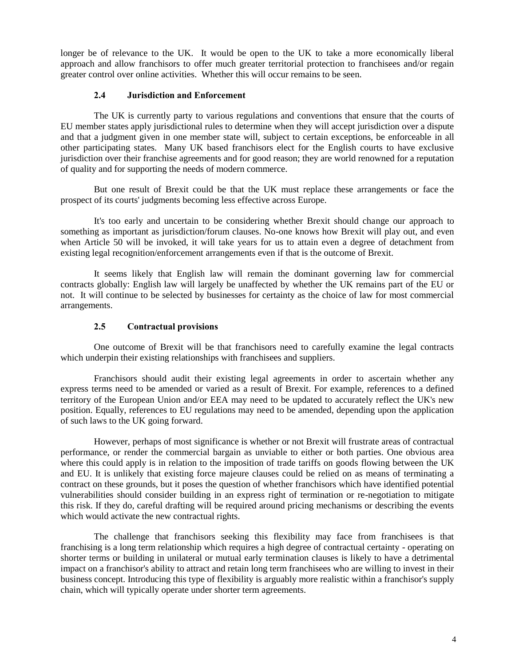longer be of relevance to the UK. It would be open to the UK to take a more economically liberal approach and allow franchisors to offer much greater territorial protection to franchisees and/or regain greater control over online activities. Whether this will occur remains to be seen.

### **2.4 Jurisdiction and Enforcement**

The UK is currently party to various regulations and conventions that ensure that the courts of EU member states apply jurisdictional rules to determine when they will accept jurisdiction over a dispute and that a judgment given in one member state will, subject to certain exceptions, be enforceable in all other participating states. Many UK based franchisors elect for the English courts to have exclusive jurisdiction over their franchise agreements and for good reason; they are world renowned for a reputation of quality and for supporting the needs of modern commerce.

But one result of Brexit could be that the UK must replace these arrangements or face the prospect of its courts' judgments becoming less effective across Europe.

It's too early and uncertain to be considering whether Brexit should change our approach to something as important as jurisdiction/forum clauses. No-one knows how Brexit will play out, and even when Article 50 will be invoked, it will take years for us to attain even a degree of detachment from existing legal recognition/enforcement arrangements even if that is the outcome of Brexit.

It seems likely that English law will remain the dominant governing law for commercial contracts globally: English law will largely be unaffected by whether the UK remains part of the EU or not. It will continue to be selected by businesses for certainty as the choice of law for most commercial arrangements.

### **2.5 Contractual provisions**

One outcome of Brexit will be that franchisors need to carefully examine the legal contracts which underpin their existing relationships with franchisees and suppliers.

Franchisors should audit their existing legal agreements in order to ascertain whether any express terms need to be amended or varied as a result of Brexit. For example, references to a defined territory of the European Union and/or EEA may need to be updated to accurately reflect the UK's new position. Equally, references to EU regulations may need to be amended, depending upon the application of such laws to the UK going forward.

However, perhaps of most significance is whether or not Brexit will frustrate areas of contractual performance, or render the commercial bargain as unviable to either or both parties. One obvious area where this could apply is in relation to the imposition of trade tariffs on goods flowing between the UK and EU. It is unlikely that existing force majeure clauses could be relied on as means of terminating a contract on these grounds, but it poses the question of whether franchisors which have identified potential vulnerabilities should consider building in an express right of termination or re-negotiation to mitigate this risk. If they do, careful drafting will be required around pricing mechanisms or describing the events which would activate the new contractual rights.

The challenge that franchisors seeking this flexibility may face from franchisees is that franchising is a long term relationship which requires a high degree of contractual certainty - operating on shorter terms or building in unilateral or mutual early termination clauses is likely to have a detrimental impact on a franchisor's ability to attract and retain long term franchisees who are willing to invest in their business concept. Introducing this type of flexibility is arguably more realistic within a franchisor's supply chain, which will typically operate under shorter term agreements.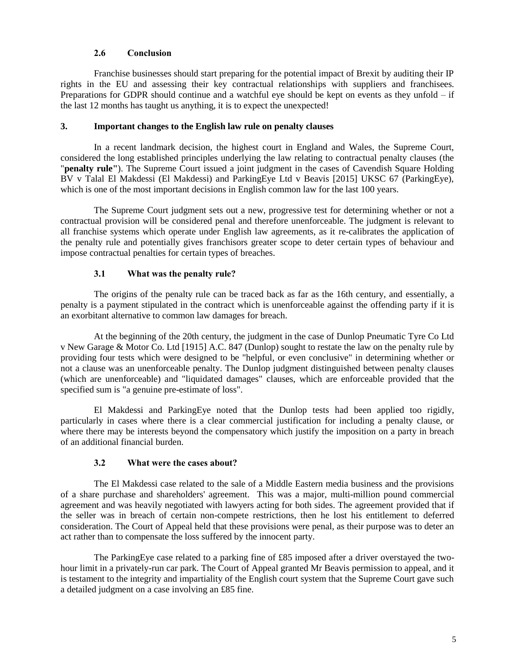### **2.6 Conclusion**

Franchise businesses should start preparing for the potential impact of Brexit by auditing their IP rights in the EU and assessing their key contractual relationships with suppliers and franchisees. Preparations for GDPR should continue and a watchful eye should be kept on events as they unfold  $-$  if the last 12 months has taught us anything, it is to expect the unexpected!

### **3. Important changes to the English law rule on penalty clauses**

In a recent landmark decision, the highest court in England and Wales, the Supreme Court, considered the long established principles underlying the law relating to contractual penalty clauses (the "**penalty rule"**). The Supreme Court issued a joint judgment in the cases of Cavendish Square Holding BV v Talal El Makdessi (El Makdessi) and ParkingEye Ltd v Beavis [2015] UKSC 67 (ParkingEye), which is one of the most important decisions in English common law for the last 100 years.

The Supreme Court judgment sets out a new, progressive test for determining whether or not a contractual provision will be considered penal and therefore unenforceable. The judgment is relevant to all franchise systems which operate under English law agreements, as it re-calibrates the application of the penalty rule and potentially gives franchisors greater scope to deter certain types of behaviour and impose contractual penalties for certain types of breaches.

## **3.1 What was the penalty rule?**

The origins of the penalty rule can be traced back as far as the 16th century, and essentially, a penalty is a payment stipulated in the contract which is unenforceable against the offending party if it is an exorbitant alternative to common law damages for breach.

At the beginning of the 20th century, the judgment in the case of Dunlop Pneumatic Tyre Co Ltd v New Garage & Motor Co. Ltd [1915] A.C. 847 (Dunlop) sought to restate the law on the penalty rule by providing four tests which were designed to be "helpful, or even conclusive" in determining whether or not a clause was an unenforceable penalty. The Dunlop judgment distinguished between penalty clauses (which are unenforceable) and "liquidated damages" clauses, which are enforceable provided that the specified sum is "a genuine pre-estimate of loss".

El Makdessi and ParkingEye noted that the Dunlop tests had been applied too rigidly, particularly in cases where there is a clear commercial justification for including a penalty clause, or where there may be interests beyond the compensatory which justify the imposition on a party in breach of an additional financial burden.

## **3.2 What were the cases about?**

The El Makdessi case related to the sale of a Middle Eastern media business and the provisions of a share purchase and shareholders' agreement. This was a major, multi-million pound commercial agreement and was heavily negotiated with lawyers acting for both sides. The agreement provided that if the seller was in breach of certain non-compete restrictions, then he lost his entitlement to deferred consideration. The Court of Appeal held that these provisions were penal, as their purpose was to deter an act rather than to compensate the loss suffered by the innocent party.

The ParkingEye case related to a parking fine of £85 imposed after a driver overstayed the twohour limit in a privately-run car park. The Court of Appeal granted Mr Beavis permission to appeal, and it is testament to the integrity and impartiality of the English court system that the Supreme Court gave such a detailed judgment on a case involving an £85 fine.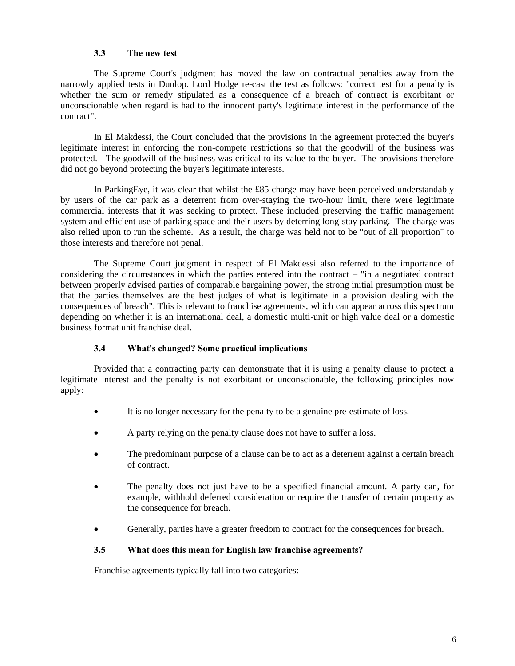### **3.3 The new test**

The Supreme Court's judgment has moved the law on contractual penalties away from the narrowly applied tests in Dunlop. Lord Hodge re-cast the test as follows: "correct test for a penalty is whether the sum or remedy stipulated as a consequence of a breach of contract is exorbitant or unconscionable when regard is had to the innocent party's legitimate interest in the performance of the contract".

In El Makdessi, the Court concluded that the provisions in the agreement protected the buyer's legitimate interest in enforcing the non-compete restrictions so that the goodwill of the business was protected. The goodwill of the business was critical to its value to the buyer. The provisions therefore did not go beyond protecting the buyer's legitimate interests.

In ParkingEye, it was clear that whilst the £85 charge may have been perceived understandably by users of the car park as a deterrent from over-staying the two-hour limit, there were legitimate commercial interests that it was seeking to protect. These included preserving the traffic management system and efficient use of parking space and their users by deterring long-stay parking. The charge was also relied upon to run the scheme. As a result, the charge was held not to be "out of all proportion" to those interests and therefore not penal.

The Supreme Court judgment in respect of El Makdessi also referred to the importance of considering the circumstances in which the parties entered into the contract – "in a negotiated contract between properly advised parties of comparable bargaining power, the strong initial presumption must be that the parties themselves are the best judges of what is legitimate in a provision dealing with the consequences of breach". This is relevant to franchise agreements, which can appear across this spectrum depending on whether it is an international deal, a domestic multi-unit or high value deal or a domestic business format unit franchise deal.

#### **3.4 What's changed? Some practical implications**

Provided that a contracting party can demonstrate that it is using a penalty clause to protect a legitimate interest and the penalty is not exorbitant or unconscionable, the following principles now apply:

- It is no longer necessary for the penalty to be a genuine pre-estimate of loss.
- A party relying on the penalty clause does not have to suffer a loss.
- The predominant purpose of a clause can be to act as a deterrent against a certain breach of contract.
- The penalty does not just have to be a specified financial amount. A party can, for example, withhold deferred consideration or require the transfer of certain property as the consequence for breach.
- Generally, parties have a greater freedom to contract for the consequences for breach.

#### **3.5 What does this mean for English law franchise agreements?**

Franchise agreements typically fall into two categories: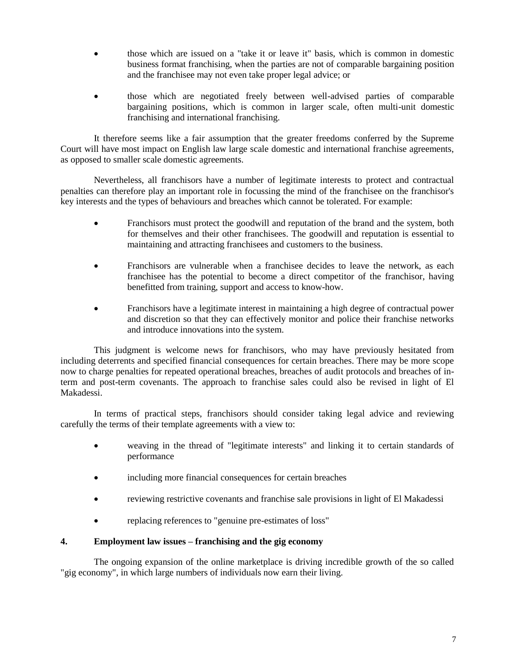- those which are issued on a "take it or leave it" basis, which is common in domestic business format franchising, when the parties are not of comparable bargaining position and the franchisee may not even take proper legal advice; or
- those which are negotiated freely between well-advised parties of comparable bargaining positions, which is common in larger scale, often multi-unit domestic franchising and international franchising.

It therefore seems like a fair assumption that the greater freedoms conferred by the Supreme Court will have most impact on English law large scale domestic and international franchise agreements, as opposed to smaller scale domestic agreements.

Nevertheless, all franchisors have a number of legitimate interests to protect and contractual penalties can therefore play an important role in focussing the mind of the franchisee on the franchisor's key interests and the types of behaviours and breaches which cannot be tolerated. For example:

- Franchisors must protect the goodwill and reputation of the brand and the system, both for themselves and their other franchisees. The goodwill and reputation is essential to maintaining and attracting franchisees and customers to the business.
- Franchisors are vulnerable when a franchisee decides to leave the network, as each franchisee has the potential to become a direct competitor of the franchisor, having benefitted from training, support and access to know-how.
- Franchisors have a legitimate interest in maintaining a high degree of contractual power and discretion so that they can effectively monitor and police their franchise networks and introduce innovations into the system.

This judgment is welcome news for franchisors, who may have previously hesitated from including deterrents and specified financial consequences for certain breaches. There may be more scope now to charge penalties for repeated operational breaches, breaches of audit protocols and breaches of interm and post-term covenants. The approach to franchise sales could also be revised in light of El Makadessi.

In terms of practical steps, franchisors should consider taking legal advice and reviewing carefully the terms of their template agreements with a view to:

- weaving in the thread of "legitimate interests" and linking it to certain standards of performance
- including more financial consequences for certain breaches
- reviewing restrictive covenants and franchise sale provisions in light of El Makadessi
- replacing references to "genuine pre-estimates of loss"

#### **4. Employment law issues – franchising and the gig economy**

The ongoing expansion of the online marketplace is driving incredible growth of the so called "gig economy", in which large numbers of individuals now earn their living.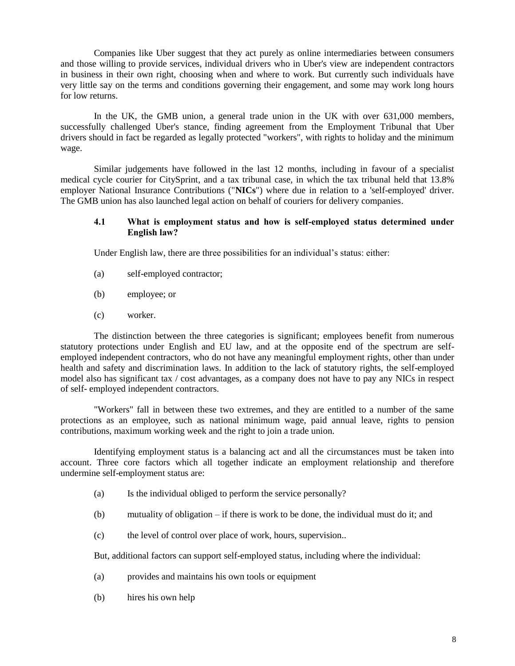Companies like Uber suggest that they act purely as online intermediaries between consumers and those willing to provide services, individual drivers who in Uber's view are independent contractors in business in their own right, choosing when and where to work. But currently such individuals have very little say on the terms and conditions governing their engagement, and some may work long hours for low returns.

In the UK, the GMB union, a general trade union in the UK with over 631,000 members, successfully challenged Uber's stance, finding agreement from the Employment Tribunal that Uber drivers should in fact be regarded as legally protected "workers", with rights to holiday and the minimum wage.

Similar judgements have followed in the last 12 months, including in favour of a specialist medical cycle courier for CitySprint, and a tax tribunal case, in which the tax tribunal held that 13.8% employer National Insurance Contributions ("**NICs**") where due in relation to a 'self-employed' driver. The GMB union has also launched legal action on behalf of couriers for delivery companies.

#### **4.1 What is employment status and how is self-employed status determined under English law?**

Under English law, there are three possibilities for an individual's status: either:

- (a) self-employed contractor;
- (b) employee; or
- (c) worker.

The distinction between the three categories is significant; employees benefit from numerous statutory protections under English and EU law, and at the opposite end of the spectrum are selfemployed independent contractors, who do not have any meaningful employment rights, other than under health and safety and discrimination laws. In addition to the lack of statutory rights, the self-employed model also has significant tax / cost advantages, as a company does not have to pay any NICs in respect of self- employed independent contractors.

"Workers" fall in between these two extremes, and they are entitled to a number of the same protections as an employee, such as national minimum wage, paid annual leave, rights to pension contributions, maximum working week and the right to join a trade union.

Identifying employment status is a balancing act and all the circumstances must be taken into account. Three core factors which all together indicate an employment relationship and therefore undermine self-employment status are:

- (a) Is the individual obliged to perform the service personally?
- (b) mutuality of obligation if there is work to be done, the individual must do it; and
- (c) the level of control over place of work, hours, supervision..

But, additional factors can support self-employed status, including where the individual:

- (a) provides and maintains his own tools or equipment
- (b) hires his own help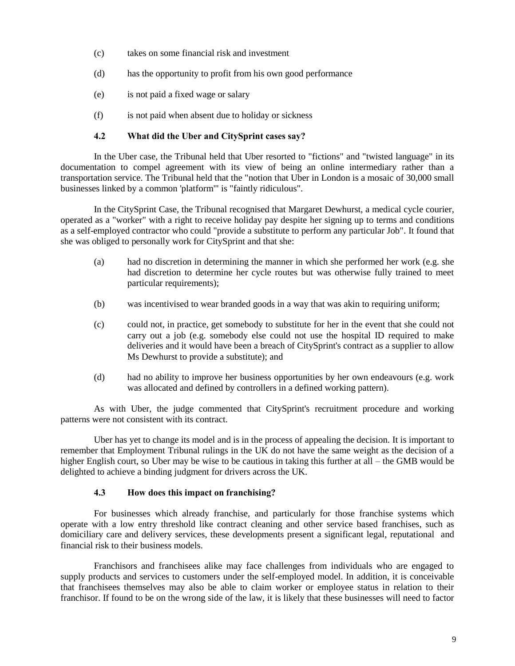- (c) takes on some financial risk and investment
- (d) has the opportunity to profit from his own good performance
- (e) is not paid a fixed wage or salary
- (f) is not paid when absent due to holiday or sickness

### **4.2 What did the Uber and CitySprint cases say?**

In the Uber case, the Tribunal held that Uber resorted to "fictions" and "twisted language" in its documentation to compel agreement with its view of being an online intermediary rather than a transportation service. The Tribunal held that the "notion that Uber in London is a mosaic of 30,000 small businesses linked by a common 'platform'" is "faintly ridiculous".

In the CitySprint Case, the Tribunal recognised that Margaret Dewhurst, a medical cycle courier, operated as a "worker" with a right to receive holiday pay despite her signing up to terms and conditions as a self-employed contractor who could "provide a substitute to perform any particular Job". It found that she was obliged to personally work for CitySprint and that she:

- (a) had no discretion in determining the manner in which she performed her work (e.g. she had discretion to determine her cycle routes but was otherwise fully trained to meet particular requirements);
- (b) was incentivised to wear branded goods in a way that was akin to requiring uniform;
- (c) could not, in practice, get somebody to substitute for her in the event that she could not carry out a job (e.g. somebody else could not use the hospital ID required to make deliveries and it would have been a breach of CitySprint's contract as a supplier to allow Ms Dewhurst to provide a substitute); and
- (d) had no ability to improve her business opportunities by her own endeavours (e.g. work was allocated and defined by controllers in a defined working pattern).

As with Uber, the judge commented that CitySprint's recruitment procedure and working patterns were not consistent with its contract.

Uber has yet to change its model and is in the process of appealing the decision. It is important to remember that Employment Tribunal rulings in the UK do not have the same weight as the decision of a higher English court, so Uber may be wise to be cautious in taking this further at all – the GMB would be delighted to achieve a binding judgment for drivers across the UK.

#### **4.3 How does this impact on franchising?**

For businesses which already franchise, and particularly for those franchise systems which operate with a low entry threshold like contract cleaning and other service based franchises, such as domiciliary care and delivery services, these developments present a significant legal, reputational and financial risk to their business models.

Franchisors and franchisees alike may face challenges from individuals who are engaged to supply products and services to customers under the self-employed model. In addition, it is conceivable that franchisees themselves may also be able to claim worker or employee status in relation to their franchisor. If found to be on the wrong side of the law, it is likely that these businesses will need to factor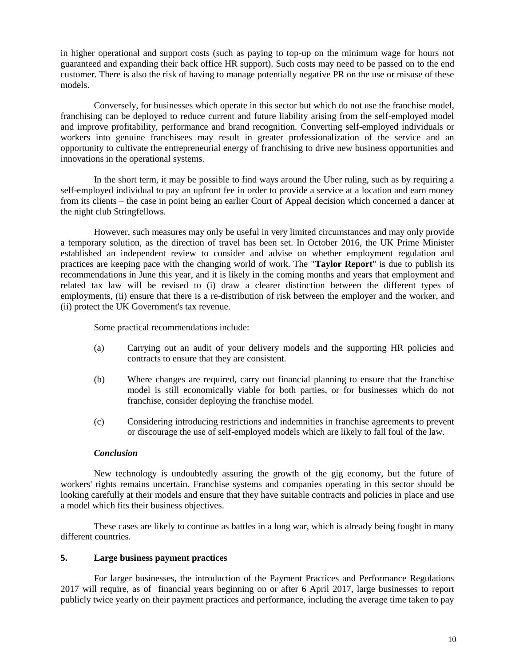in higher operational and support costs (such as paying to top-up on the minimum wage for hours not guaranteed and expanding their back office HR support). Such costs may need to be passed on to the end customer. There is also the risk of having to manage potentially negative PR on the use or misuse of these models.

Conversely, for businesses which operate in this sector but which do not use the franchise model, franchising can be deployed to reduce current and future liability arising from the self-employed model and improve profitability, performance and brand recognition. Converting self-employed individuals or workers into genuine franchisees may result in greater professionalization of the service and an opportunity to cultivate the entrepreneurial energy of franchising to drive new business opportunities and innovations in the operational systems.

In the short term, it may be possible to find ways around the Uber ruling, such as by requiring a self-employed individual to pay an upfront fee in order to provide a service at a location and earn money from its clients – the case in point being an earlier Court of Appeal decision which concerned a dancer at the night club Stringfellows.

However, such measures may only be useful in very limited circumstances and may only provide a temporary solution, as the direction of travel has been set. In October 2016, the UK Prime Minister established an independent review to consider and advise on whether employment regulation and practices are keeping pace with the changing world of work. The "**Taylor Report**" is due to publish its recommendations in June this year, and it is likely in the coming months and years that employment and related tax law will be revised to (i) draw a clearer distinction between the different types of employments, (ii) ensure that there is a re-distribution of risk between the employer and the worker, and (ii) protect the UK Government's tax revenue.

Some practical recommendations include:

- (a) Carrying out an audit of your delivery models and the supporting HR policies and contracts to ensure that they are consistent.
- (b) Where changes are required, carry out financial planning to ensure that the franchise model is still economically viable for both parties, or for businesses which do not franchise, consider deploying the franchise model.
- (c) Considering introducing restrictions and indemnities in franchise agreements to prevent or discourage the use of self-employed models which are likely to fall foul of the law.

#### *Conclusion*

New technology is undoubtedly assuring the growth of the gig economy, but the future of workers' rights remains uncertain. Franchise systems and companies operating in this sector should be looking carefully at their models and ensure that they have suitable contracts and policies in place and use a model which fits their business objectives.

These cases are likely to continue as battles in a long war, which is already being fought in many different countries.

#### **5. Large business payment practices**

For larger businesses, the introduction of the Payment Practices and Performance Regulations 2017 will require, as of financial years beginning on or after 6 April 2017, large businesses to report publicly twice yearly on their payment practices and performance, including the average time taken to pay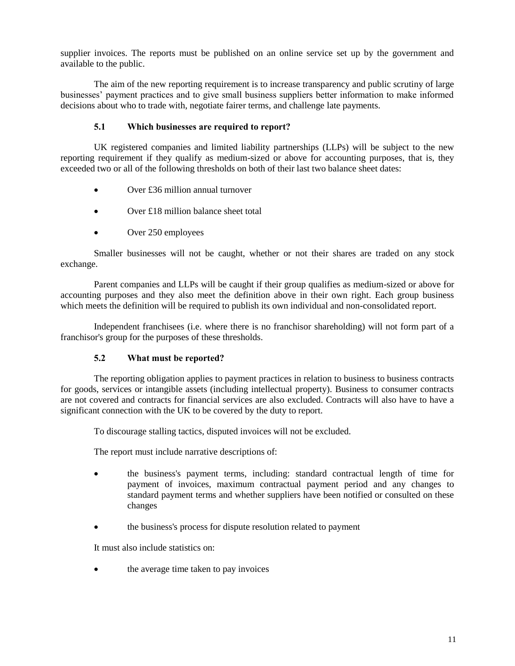supplier invoices. The reports must be published on an online service set up by the government and available to the public.

The aim of the new reporting requirement is to increase transparency and public scrutiny of large businesses' payment practices and to give small business suppliers better information to make informed decisions about who to trade with, negotiate fairer terms, and challenge late payments.

## **5.1 Which businesses are required to report?**

UK registered companies and limited liability partnerships (LLPs) will be subject to the new reporting requirement if they qualify as medium-sized or above for accounting purposes, that is, they exceeded two or all of the following thresholds on both of their last two balance sheet dates:

- Over £36 million annual turnover
- Over £18 million balance sheet total
- Over 250 employees

Smaller businesses will not be caught, whether or not their shares are traded on any stock exchange.

Parent companies and LLPs will be caught if their group qualifies as medium-sized or above for accounting purposes and they also meet the definition above in their own right. Each group business which meets the definition will be required to publish its own individual and non-consolidated report.

Independent franchisees (i.e. where there is no franchisor shareholding) will not form part of a franchisor's group for the purposes of these thresholds.

#### **5.2 What must be reported?**

The reporting obligation applies to payment practices in relation to business to business contracts for goods, services or intangible assets (including intellectual property). Business to consumer contracts are not covered and contracts for financial services are also excluded. Contracts will also have to have a significant connection with the UK to be covered by the duty to report.

To discourage stalling tactics, disputed invoices will not be excluded.

The report must include narrative descriptions of:

- the business's payment terms, including: standard contractual length of time for payment of invoices, maximum contractual payment period and any changes to standard payment terms and whether suppliers have been notified or consulted on these changes
- the business's process for dispute resolution related to payment

It must also include statistics on:

the average time taken to pay invoices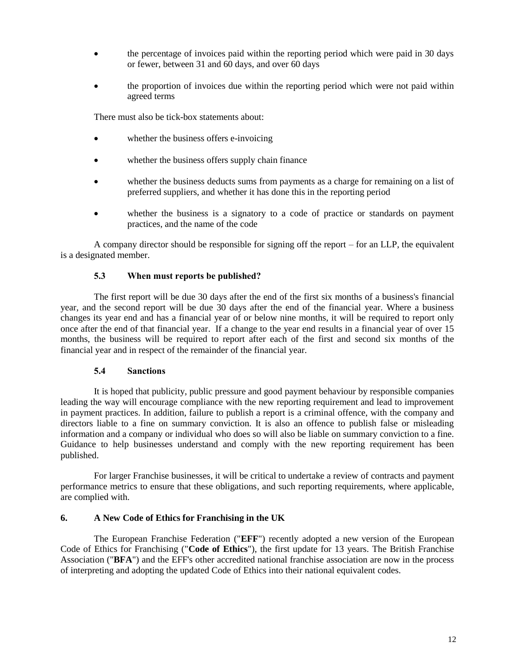- the percentage of invoices paid within the reporting period which were paid in 30 days or fewer, between 31 and 60 days, and over 60 days
- the proportion of invoices due within the reporting period which were not paid within agreed terms

There must also be tick-box statements about:

- whether the business offers e-invoicing
- whether the business offers supply chain finance
- whether the business deducts sums from payments as a charge for remaining on a list of preferred suppliers, and whether it has done this in the reporting period
- whether the business is a signatory to a code of practice or standards on payment practices, and the name of the code

A company director should be responsible for signing off the report – for an LLP, the equivalent is a designated member.

#### **5.3 When must reports be published?**

The first report will be due 30 days after the end of the first six months of a business's financial year, and the second report will be due 30 days after the end of the financial year. Where a business changes its year end and has a financial year of or below nine months, it will be required to report only once after the end of that financial year. If a change to the year end results in a financial year of over 15 months, the business will be required to report after each of the first and second six months of the financial year and in respect of the remainder of the financial year.

#### **5.4 Sanctions**

It is hoped that publicity, public pressure and good payment behaviour by responsible companies leading the way will encourage compliance with the new reporting requirement and lead to improvement in payment practices. In addition, failure to publish a report is a criminal offence, with the company and directors liable to a fine on summary conviction. It is also an offence to publish false or misleading information and a company or individual who does so will also be liable on summary conviction to a fine. Guidance to help businesses understand and comply with the new reporting requirement has been published.

For larger Franchise businesses, it will be critical to undertake a review of contracts and payment performance metrics to ensure that these obligations, and such reporting requirements, where applicable, are complied with.

#### **6. A New Code of Ethics for Franchising in the UK**

The European Franchise Federation ("**EFF**") recently adopted a new version of the European Code of Ethics for Franchising ("**Code of Ethics**"), the first update for 13 years. The British Franchise Association ("**BFA**") and the EFF's other accredited national franchise association are now in the process of interpreting and adopting the updated Code of Ethics into their national equivalent codes.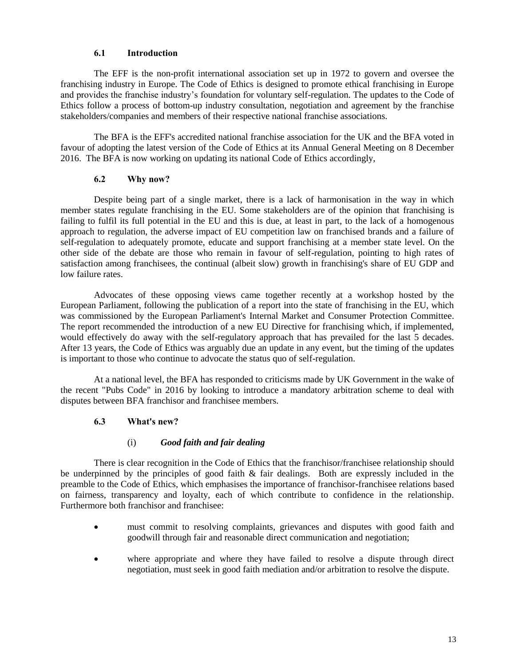### **6.1 Introduction**

The EFF is the non-profit international association set up in 1972 to govern and oversee the franchising industry in Europe. The Code of Ethics is designed to promote ethical franchising in Europe and provides the franchise industry's foundation for voluntary self-regulation. The updates to the Code of Ethics follow a process of bottom-up industry consultation, negotiation and agreement by the franchise stakeholders/companies and members of their respective national franchise associations.

The BFA is the EFF's accredited national franchise association for the UK and the BFA voted in favour of adopting the latest version of the Code of Ethics at its Annual General Meeting on 8 December 2016. The BFA is now working on updating its national Code of Ethics accordingly,

### **6.2 Why now?**

Despite being part of a single market, there is a lack of harmonisation in the way in which member states regulate franchising in the EU. Some stakeholders are of the opinion that franchising is failing to fulfil its full potential in the EU and this is due, at least in part, to the lack of a homogenous approach to regulation, the adverse impact of EU competition law on franchised brands and a failure of self-regulation to adequately promote, educate and support franchising at a member state level. On the other side of the debate are those who remain in favour of self-regulation, pointing to high rates of satisfaction among franchisees, the continual (albeit slow) growth in franchising's share of EU GDP and low failure rates.

Advocates of these opposing views came together recently at a workshop hosted by the European Parliament, following the publication of a report into the state of franchising in the EU, which was commissioned by the European Parliament's Internal Market and Consumer Protection Committee. The report recommended the introduction of a new EU Directive for franchising which, if implemented, would effectively do away with the self-regulatory approach that has prevailed for the last 5 decades. After 13 years, the Code of Ethics was arguably due an update in any event, but the timing of the updates is important to those who continue to advocate the status quo of self-regulation.

At a national level, the BFA has responded to criticisms made by UK Government in the wake of the recent "Pubs Code" in 2016 by looking to introduce a mandatory arbitration scheme to deal with disputes between BFA franchisor and franchisee members.

## **6.3 What's new?**

## (i) *Good faith and fair dealing*

There is clear recognition in the Code of Ethics that the franchisor/franchisee relationship should be underpinned by the principles of good faith & fair dealings. Both are expressly included in the preamble to the Code of Ethics, which emphasises the importance of franchisor-franchisee relations based on fairness, transparency and loyalty, each of which contribute to confidence in the relationship. Furthermore both franchisor and franchisee:

- must commit to resolving complaints, grievances and disputes with good faith and goodwill through fair and reasonable direct communication and negotiation;
- where appropriate and where they have failed to resolve a dispute through direct negotiation, must seek in good faith mediation and/or arbitration to resolve the dispute.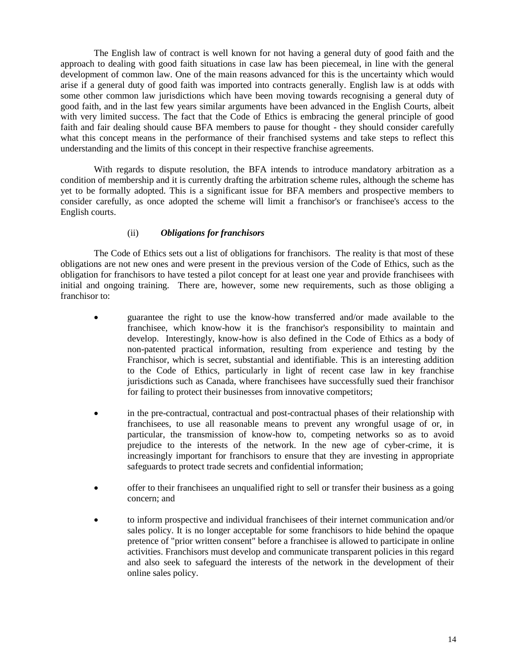The English law of contract is well known for not having a general duty of good faith and the approach to dealing with good faith situations in case law has been piecemeal, in line with the general development of common law. One of the main reasons advanced for this is the uncertainty which would arise if a general duty of good faith was imported into contracts generally. English law is at odds with some other common law jurisdictions which have been moving towards recognising a general duty of good faith, and in the last few years similar arguments have been advanced in the English Courts, albeit with very limited success. The fact that the Code of Ethics is embracing the general principle of good faith and fair dealing should cause BFA members to pause for thought - they should consider carefully what this concept means in the performance of their franchised systems and take steps to reflect this understanding and the limits of this concept in their respective franchise agreements.

With regards to dispute resolution, the BFA intends to introduce mandatory arbitration as a condition of membership and it is currently drafting the arbitration scheme rules, although the scheme has yet to be formally adopted. This is a significant issue for BFA members and prospective members to consider carefully, as once adopted the scheme will limit a franchisor's or franchisee's access to the English courts.

### (ii) *Obligations for franchisors*

The Code of Ethics sets out a list of obligations for franchisors. The reality is that most of these obligations are not new ones and were present in the previous version of the Code of Ethics, such as the obligation for franchisors to have tested a pilot concept for at least one year and provide franchisees with initial and ongoing training. There are, however, some new requirements, such as those obliging a franchisor to:

- guarantee the right to use the know-how transferred and/or made available to the franchisee, which know-how it is the franchisor's responsibility to maintain and develop. Interestingly, know-how is also defined in the Code of Ethics as a body of non-patented practical information, resulting from experience and testing by the Franchisor, which is secret, substantial and identifiable. This is an interesting addition to the Code of Ethics, particularly in light of recent case law in key franchise jurisdictions such as Canada, where franchisees have successfully sued their franchisor for failing to protect their businesses from innovative competitors;
- in the pre-contractual, contractual and post-contractual phases of their relationship with franchisees, to use all reasonable means to prevent any wrongful usage of or, in particular, the transmission of know-how to, competing networks so as to avoid prejudice to the interests of the network. In the new age of cyber-crime, it is increasingly important for franchisors to ensure that they are investing in appropriate safeguards to protect trade secrets and confidential information;
- offer to their franchisees an unqualified right to sell or transfer their business as a going concern; and
- to inform prospective and individual franchisees of their internet communication and/or sales policy. It is no longer acceptable for some franchisors to hide behind the opaque pretence of "prior written consent" before a franchisee is allowed to participate in online activities. Franchisors must develop and communicate transparent policies in this regard and also seek to safeguard the interests of the network in the development of their online sales policy.